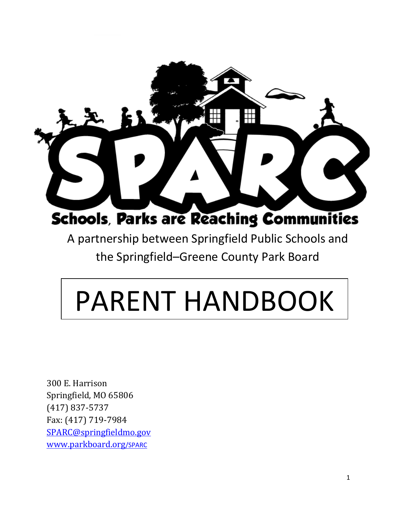

A partnership between Springfield Public Schools and the Springfield–Greene County Park Board

# PARENT HANDBOOK

300 E. Harrison Springfield, MO 65806 (417) 837-5737 Fax: (417) 719-7984 [SPARC@springfieldmo.gov](mailto:SPARC@springfieldmo.gov) [www.parkboard.org](http://www.parkboard.org/SPARC)/SPARC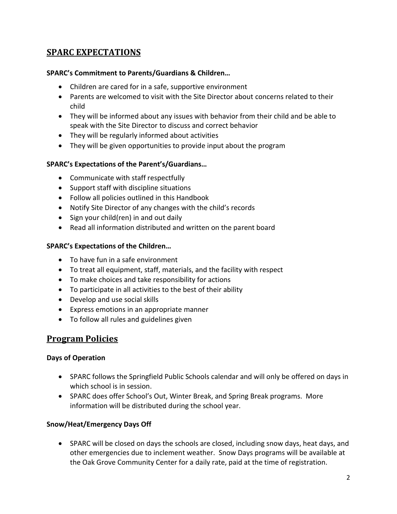# **SPARC EXPECTATIONS**

#### **SPARC's Commitment to Parents/Guardians & Children…**

- Children are cared for in a safe, supportive environment
- Parents are welcomed to visit with the Site Director about concerns related to their child
- They will be informed about any issues with behavior from their child and be able to speak with the Site Director to discuss and correct behavior
- They will be regularly informed about activities
- They will be given opportunities to provide input about the program

#### **SPARC's Expectations of the Parent's/Guardians…**

- Communicate with staff respectfully
- Support staff with discipline situations
- Follow all policies outlined in this Handbook
- Notify Site Director of any changes with the child's records
- Sign your child(ren) in and out daily
- Read all information distributed and written on the parent board

#### **SPARC's Expectations of the Children…**

- To have fun in a safe environment
- To treat all equipment, staff, materials, and the facility with respect
- To make choices and take responsibility for actions
- To participate in all activities to the best of their ability
- Develop and use social skills
- Express emotions in an appropriate manner
- To follow all rules and guidelines given

## **Program Policies**

#### **Days of Operation**

- SPARC follows the Springfield Public Schools calendar and will only be offered on days in which school is in session.
- SPARC does offer School's Out, Winter Break, and Spring Break programs. More information will be distributed during the school year.

## **Snow/Heat/Emergency Days Off**

• SPARC will be closed on days the schools are closed, including snow days, heat days, and other emergencies due to inclement weather. Snow Days programs will be available at the Oak Grove Community Center for a daily rate, paid at the time of registration.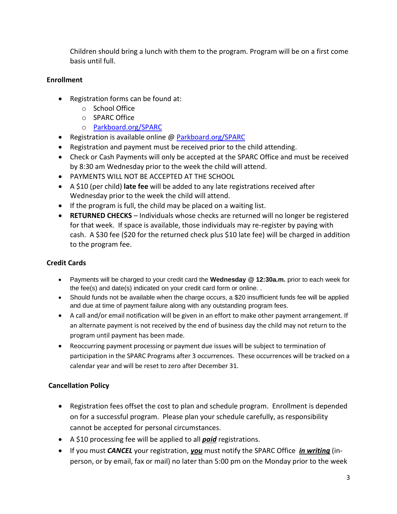Children should bring a lunch with them to the program. Program will be on a first come basis until full.

## **Enrollment**

- Registration forms can be found at:
	- o School Office
	- o SPARC Office
	- o [Parkboard.org/SPARC](http://www.parkboard.org/SPARC)
- Registration is available online @ [Parkboard.org/SPARC](http://www.parkboard.org/SPARC)
- Registration and payment must be received prior to the child attending.
- Check or Cash Payments will only be accepted at the SPARC Office and must be received by 8:30 am Wednesday prior to the week the child will attend.
- PAYMENTS WILL NOT BE ACCEPTED AT THE SCHOOL
- A \$10 (per child) **late fee** will be added to any late registrations received after Wednesday prior to the week the child will attend.
- If the program is full, the child may be placed on a waiting list.
- **RETURNED CHECKS** Individuals whose checks are returned will no longer be registered for that week. If space is available, those individuals may re-register by paying with cash. A \$30 fee (\$20 for the returned check plus \$10 late fee) will be charged in addition to the program fee.

## **Credit Cards**

- Payments will be charged to your credit card the **Wednesday @ 12:30a.m.** prior to each week for the fee(s) and date(s) indicated on your credit card form or online. .
- Should funds not be available when the charge occurs, a \$20 insufficient funds fee will be applied and due at time of payment failure along with any outstanding program fees.
- A call and/or email notification will be given in an effort to make other payment arrangement. If an alternate payment is not received by the end of business day the child may not return to the program until payment has been made.
- Reoccurring payment processing or payment due issues will be subject to termination of participation in the SPARC Programs after 3 occurrences. These occurrences will be tracked on a calendar year and will be reset to zero after December 31.

## **Cancellation Policy**

- Registration fees offset the cost to plan and schedule program. Enrollment is depended on for a successful program. Please plan your schedule carefully, as responsibility cannot be accepted for personal circumstances.
- A \$10 processing fee will be applied to all *paid* registrations.
- If you must *CANCEL* your registration, *you* must notify the SPARC Office *in writing* (inperson, or by email, fax or mail) no later than 5:00 pm on the Monday prior to the week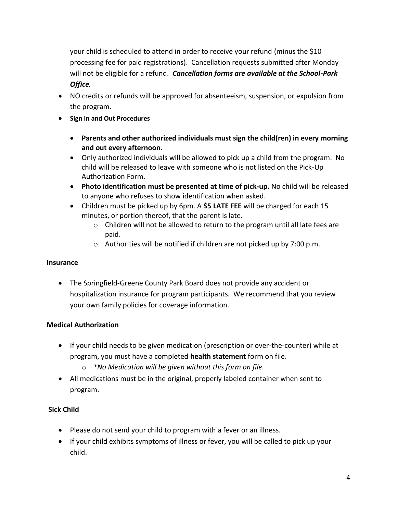your child is scheduled to attend in order to receive your refund (minus the \$10 processing fee for paid registrations). Cancellation requests submitted after Monday will not be eligible for a refund. *Cancellation forms are available at the School-Park Office.*

- NO credits or refunds will be approved for absenteeism, suspension, or expulsion from the program.
- **Sign in and Out Procedures**
	- **Parents and other authorized individuals must sign the child(ren) in every morning and out every afternoon.**
	- Only authorized individuals will be allowed to pick up a child from the program. No child will be released to leave with someone who is not listed on the Pick-Up Authorization Form.
	- **Photo identification must be presented at time of pick-up.** No child will be released to anyone who refuses to show identification when asked.
	- Children must be picked up by 6pm. A **\$5 LATE FEE** will be charged for each 15 minutes, or portion thereof, that the parent is late.
		- o Children will not be allowed to return to the program until all late fees are paid.
		- o Authorities will be notified if children are not picked up by 7:00 p.m.

## **Insurance**

• The Springfield-Greene County Park Board does not provide any accident or hospitalization insurance for program participants. We recommend that you review your own family policies for coverage information.

## **Medical Authorization**

- If your child needs to be given medication (prescription or over-the-counter) while at program, you must have a completed **health statement** form on file.
	- o *\*No Medication will be given without this form on file.*
- All medications must be in the original, properly labeled container when sent to program.

## **Sick Child**

- Please do not send your child to program with a fever or an illness.
- If your child exhibits symptoms of illness or fever, you will be called to pick up your child.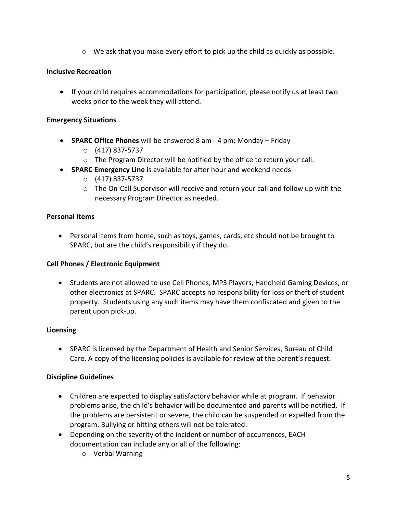$\circ$  We ask that you make every effort to pick up the child as quickly as possible.

## **Inclusive Recreation**

• If your child requires accommodations for participation, please notify us at least two weeks prior to the week they will attend.

## **Emergency Situations**

- **SPARC Office Phones** will be answered 8 am 4 pm; Monday Friday
	- o (417) 837-5737
	- o The Program Director will be notified by the office to return your call.
- **SPARC Emergency Line** is available for after hour and weekend needs
	- o (417) 837-5737
	- o The On-Call Supervisor will receive and return your call and follow up with the necessary Program Director as needed.

#### **Personal Items**

• Personal items from home, such as toys, games, cards, etc should not be brought to SPARC, but are the child's responsibility if they do.

## **Cell Phones / Electronic Equipment**

• Students are not allowed to use Cell Phones, MP3 Players, Handheld Gaming Devices, or other electronics at SPARC. SPARC accepts no responsibility for loss or theft of student property. Students using any such items may have them confiscated and given to the parent upon pick-up.

## **Licensing**

• SPARC is licensed by the Department of Health and Senior Services, Bureau of Child Care. A copy of the licensing policies is available for review at the parent's request.

## **Discipline Guidelines**

- Children are expected to display satisfactory behavior while at program. If behavior problems arise, the child's behavior will be documented and parents will be notified. If the problems are persistent or severe, the child can be suspended or expelled from the program. Bullying or hitting others will not be tolerated.
- Depending on the severity of the incident or number of occurrences, EACH documentation can include any or all of the following:
	- o Verbal Warning